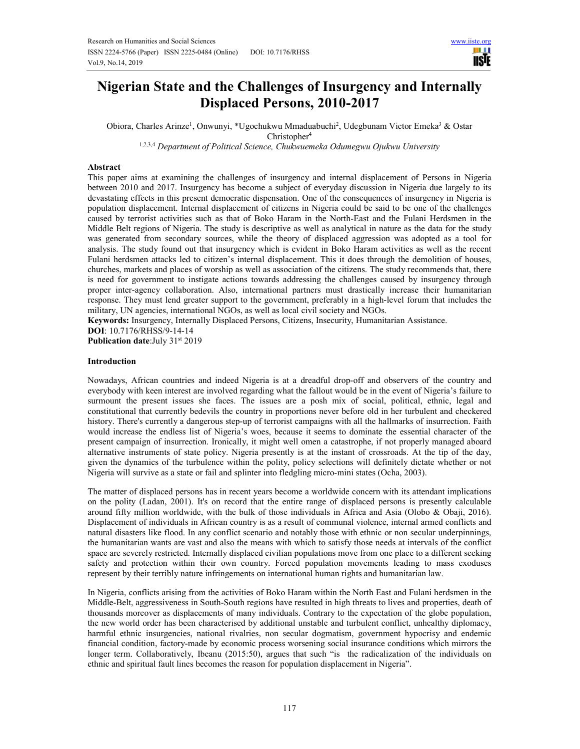

# **Nigerian State and the Challenges of Insurgency and Internally Displaced Persons, 2010-2017**

Obiora, Charles Arinze<sup>1</sup>, Onwunyi, \*Ugochukwu Mmaduabuchi<sup>2</sup>, Udegbunam Victor Emeka<sup>3</sup> & Ostar  $Christopher<sup>4</sup>$ 

1,2,3,4 *Department of Political Science, Chukwuemeka Odumegwu Ojukwu University*

#### **Abstract**

This paper aims at examining the challenges of insurgency and internal displacement of Persons in Nigeria between 2010 and 2017. Insurgency has become a subject of everyday discussion in Nigeria due largely to its devastating effects in this present democratic dispensation. One of the consequences of insurgency in Nigeria is population displacement. Internal displacement of citizens in Nigeria could be said to be one of the challenges caused by terrorist activities such as that of Boko Haram in the North-East and the Fulani Herdsmen in the Middle Belt regions of Nigeria. The study is descriptive as well as analytical in nature as the data for the study was generated from secondary sources, while the theory of displaced aggression was adopted as a tool for analysis. The study found out that insurgency which is evident in Boko Haram activities as well as the recent Fulani herdsmen attacks led to citizen's internal displacement. This it does through the demolition of houses, churches, markets and places of worship as well as association of the citizens. The study recommends that, there is need for government to instigate actions towards addressing the challenges caused by insurgency through proper inter-agency collaboration. Also, international partners must drastically increase their humanitarian response. They must lend greater support to the government, preferably in a high-level forum that includes the military, UN agencies, international NGOs, as well as local civil society and NGOs.

**Keywords:** Insurgency, Internally Displaced Persons, Citizens, Insecurity, Humanitarian Assistance.

**DOI**: 10.7176/RHSS/9-14-14

**Publication date:**July 31<sup>st</sup> 2019

#### **Introduction**

Nowadays, African countries and indeed Nigeria is at a dreadful drop-off and observers of the country and everybody with keen interest are involved regarding what the fallout would be in the event of Nigeria's failure to surmount the present issues she faces. The issues are a posh mix of social, political, ethnic, legal and constitutional that currently bedevils the country in proportions never before old in her turbulent and checkered history. There's currently a dangerous step-up of terrorist campaigns with all the hallmarks of insurrection. Faith would increase the endless list of Nigeria's woes, because it seems to dominate the essential character of the present campaign of insurrection. Ironically, it might well omen a catastrophe, if not properly managed aboard alternative instruments of state policy. Nigeria presently is at the instant of crossroads. At the tip of the day, given the dynamics of the turbulence within the polity, policy selections will definitely dictate whether or not Nigeria will survive as a state or fail and splinter into fledgling micro-mini states (Ocha, 2003).

The matter of displaced persons has in recent years become a worldwide concern with its attendant implications on the polity (Ladan, 2001). It's on record that the entire range of displaced persons is presently calculable around fifty million worldwide, with the bulk of those individuals in Africa and Asia (Olobo & Obaji, 2016). Displacement of individuals in African country is as a result of communal violence, internal armed conflicts and natural disasters like flood. In any conflict scenario and notably those with ethnic or non secular underpinnings, the humanitarian wants are vast and also the means with which to satisfy those needs at intervals of the conflict space are severely restricted. Internally displaced civilian populations move from one place to a different seeking safety and protection within their own country. Forced population movements leading to mass exoduses represent by their terribly nature infringements on international human rights and humanitarian law.

In Nigeria, conflicts arising from the activities of Boko Haram within the North East and Fulani herdsmen in the Middle-Belt, aggressiveness in South-South regions have resulted in high threats to lives and properties, death of thousands moreover as displacements of many individuals. Contrary to the expectation of the globe population, the new world order has been characterised by additional unstable and turbulent conflict, unhealthy diplomacy, harmful ethnic insurgencies, national rivalries, non secular dogmatism, government hypocrisy and endemic financial condition, factory-made by economic process worsening social insurance conditions which mirrors the longer term. Collaboratively, Ibeanu (2015:50), argues that such "is the radicalization of the individuals on ethnic and spiritual fault lines becomes the reason for population displacement in Nigeria".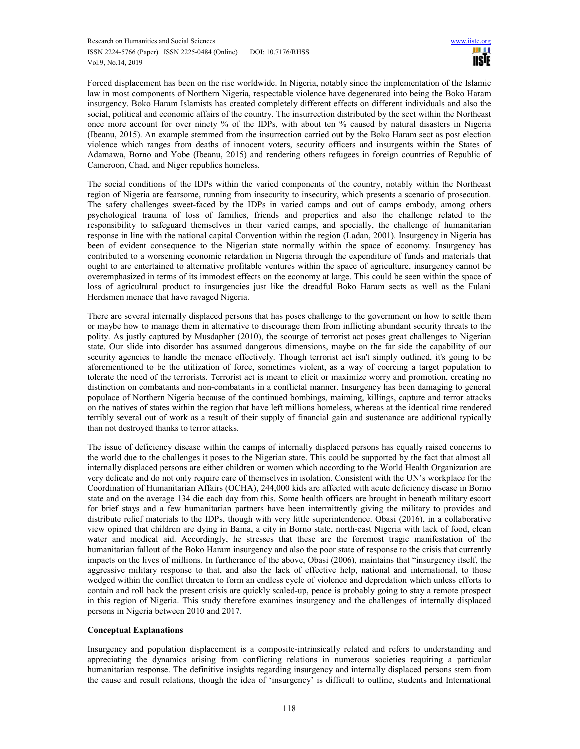Forced displacement has been on the rise worldwide. In Nigeria, notably since the implementation of the Islamic law in most components of Northern Nigeria, respectable violence have degenerated into being the Boko Haram insurgency. Boko Haram Islamists has created completely different effects on different individuals and also the social, political and economic affairs of the country. The insurrection distributed by the sect within the Northeast once more account for over ninety % of the IDPs, with about ten % caused by natural disasters in Nigeria (Ibeanu, 2015). An example stemmed from the insurrection carried out by the Boko Haram sect as post election violence which ranges from deaths of innocent voters, security officers and insurgents within the States of Adamawa, Borno and Yobe (Ibeanu, 2015) and rendering others refugees in foreign countries of Republic of Cameroon, Chad, and Niger republics homeless.

The social conditions of the IDPs within the varied components of the country, notably within the Northeast region of Nigeria are fearsome, running from insecurity to insecurity, which presents a scenario of prosecution. The safety challenges sweet-faced by the IDPs in varied camps and out of camps embody, among others psychological trauma of loss of families, friends and properties and also the challenge related to the responsibility to safeguard themselves in their varied camps, and specially, the challenge of humanitarian response in line with the national capital Convention within the region (Ladan, 2001). Insurgency in Nigeria has been of evident consequence to the Nigerian state normally within the space of economy. Insurgency has contributed to a worsening economic retardation in Nigeria through the expenditure of funds and materials that ought to are entertained to alternative profitable ventures within the space of agriculture, insurgency cannot be overemphasized in terms of its immodest effects on the economy at large. This could be seen within the space of loss of agricultural product to insurgencies just like the dreadful Boko Haram sects as well as the Fulani Herdsmen menace that have ravaged Nigeria.

There are several internally displaced persons that has poses challenge to the government on how to settle them or maybe how to manage them in alternative to discourage them from inflicting abundant security threats to the polity. As justly captured by Musdapher (2010), the scourge of terrorist act poses great challenges to Nigerian state. Our slide into disorder has assumed dangerous dimensions, maybe on the far side the capability of our security agencies to handle the menace effectively. Though terrorist act isn't simply outlined, it's going to be aforementioned to be the utilization of force, sometimes violent, as a way of coercing a target population to tolerate the need of the terrorists. Terrorist act is meant to elicit or maximize worry and promotion, creating no distinction on combatants and non-combatants in a conflictal manner. Insurgency has been damaging to general populace of Northern Nigeria because of the continued bombings, maiming, killings, capture and terror attacks on the natives of states within the region that have left millions homeless, whereas at the identical time rendered terribly several out of work as a result of their supply of financial gain and sustenance are additional typically than not destroyed thanks to terror attacks.

The issue of deficiency disease within the camps of internally displaced persons has equally raised concerns to the world due to the challenges it poses to the Nigerian state. This could be supported by the fact that almost all internally displaced persons are either children or women which according to the World Health Organization are very delicate and do not only require care of themselves in isolation. Consistent with the UN's workplace for the Coordination of Humanitarian Affairs (OCHA), 244,000 kids are affected with acute deficiency disease in Borno state and on the average 134 die each day from this. Some health officers are brought in beneath military escort for brief stays and a few humanitarian partners have been intermittently giving the military to provides and distribute relief materials to the IDPs, though with very little superintendence. Obasi (2016), in a collaborative view opined that children are dying in Bama, a city in Borno state, north-east Nigeria with lack of food, clean water and medical aid. Accordingly, he stresses that these are the foremost tragic manifestation of the humanitarian fallout of the Boko Haram insurgency and also the poor state of response to the crisis that currently impacts on the lives of millions. In furtherance of the above, Obasi (2006), maintains that "insurgency itself, the aggressive military response to that, and also the lack of effective help, national and international, to those wedged within the conflict threaten to form an endless cycle of violence and depredation which unless efforts to contain and roll back the present crisis are quickly scaled-up, peace is probably going to stay a remote prospect in this region of Nigeria. This study therefore examines insurgency and the challenges of internally displaced persons in Nigeria between 2010 and 2017.

# **Conceptual Explanations**

Insurgency and population displacement is a composite-intrinsically related and refers to understanding and appreciating the dynamics arising from conflicting relations in numerous societies requiring a particular humanitarian response. The definitive insights regarding insurgency and internally displaced persons stem from the cause and result relations, though the idea of 'insurgency' is difficult to outline, students and International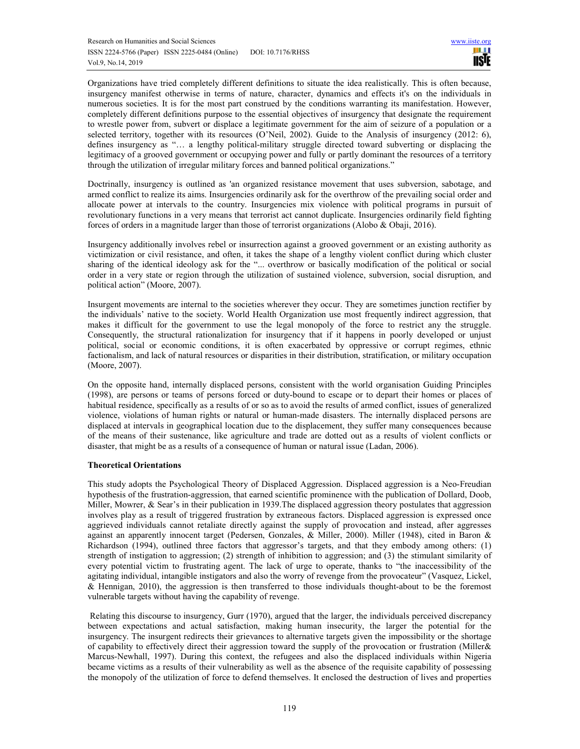Organizations have tried completely different definitions to situate the idea realistically. This is often because, insurgency manifest otherwise in terms of nature, character, dynamics and effects it's on the individuals in numerous societies. It is for the most part construed by the conditions warranting its manifestation. However, completely different definitions purpose to the essential objectives of insurgency that designate the requirement to wrestle power from, subvert or displace a legitimate government for the aim of seizure of a population or a selected territory, together with its resources (O'Neil, 2002). Guide to the Analysis of insurgency (2012: 6), defines insurgency as "… a lengthy political-military struggle directed toward subverting or displacing the legitimacy of a grooved government or occupying power and fully or partly dominant the resources of a territory through the utilization of irregular military forces and banned political organizations."

Doctrinally, insurgency is outlined as 'an organized resistance movement that uses subversion, sabotage, and armed conflict to realize its aims. Insurgencies ordinarily ask for the overthrow of the prevailing social order and allocate power at intervals to the country. Insurgencies mix violence with political programs in pursuit of revolutionary functions in a very means that terrorist act cannot duplicate. Insurgencies ordinarily field fighting forces of orders in a magnitude larger than those of terrorist organizations (Alobo & Obaji, 2016).

Insurgency additionally involves rebel or insurrection against a grooved government or an existing authority as victimization or civil resistance, and often, it takes the shape of a lengthy violent conflict during which cluster sharing of the identical ideology ask for the "... overthrow or basically modification of the political or social order in a very state or region through the utilization of sustained violence, subversion, social disruption, and political action" (Moore, 2007).

Insurgent movements are internal to the societies wherever they occur. They are sometimes junction rectifier by the individuals' native to the society. World Health Organization use most frequently indirect aggression, that makes it difficult for the government to use the legal monopoly of the force to restrict any the struggle. Consequently, the structural rationalization for insurgency that if it happens in poorly developed or unjust political, social or economic conditions, it is often exacerbated by oppressive or corrupt regimes, ethnic factionalism, and lack of natural resources or disparities in their distribution, stratification, or military occupation (Moore, 2007).

On the opposite hand, internally displaced persons, consistent with the world organisation Guiding Principles (1998), are persons or teams of persons forced or duty-bound to escape or to depart their homes or places of habitual residence, specifically as a results of or so as to avoid the results of armed conflict, issues of generalized violence, violations of human rights or natural or human-made disasters. The internally displaced persons are displaced at intervals in geographical location due to the displacement, they suffer many consequences because of the means of their sustenance, like agriculture and trade are dotted out as a results of violent conflicts or disaster, that might be as a results of a consequence of human or natural issue (Ladan, 2006).

# **Theoretical Orientations**

This study adopts the Psychological Theory of Displaced Aggression. Displaced aggression is a Neo-Freudian hypothesis of the frustration-aggression, that earned scientific prominence with the publication of Dollard, Doob, Miller, Mowrer, & Sear's in their publication in 1939.The displaced aggression theory postulates that aggression involves play as a result of triggered frustration by extraneous factors. Displaced aggression is expressed once aggrieved individuals cannot retaliate directly against the supply of provocation and instead, after aggresses against an apparently innocent target (Pedersen, Gonzales, & Miller, 2000). Miller (1948), cited in Baron & Richardson (1994), outlined three factors that aggressor's targets, and that they embody among others: (1) strength of instigation to aggression; (2) strength of inhibition to aggression; and (3) the stimulant similarity of every potential victim to frustrating agent. The lack of urge to operate, thanks to "the inaccessibility of the agitating individual, intangible instigators and also the worry of revenge from the provocateur" (Vasquez, Lickel, & Hennigan, 2010), the aggression is then transferred to those individuals thought-about to be the foremost vulnerable targets without having the capability of revenge.

 Relating this discourse to insurgency, Gurr (1970), argued that the larger, the individuals perceived discrepancy between expectations and actual satisfaction, making human insecurity, the larger the potential for the insurgency. The insurgent redirects their grievances to alternative targets given the impossibility or the shortage of capability to effectively direct their aggression toward the supply of the provocation or frustration (Miller& Marcus-Newhall, 1997). During this context, the refugees and also the displaced individuals within Nigeria became victims as a results of their vulnerability as well as the absence of the requisite capability of possessing the monopoly of the utilization of force to defend themselves. It enclosed the destruction of lives and properties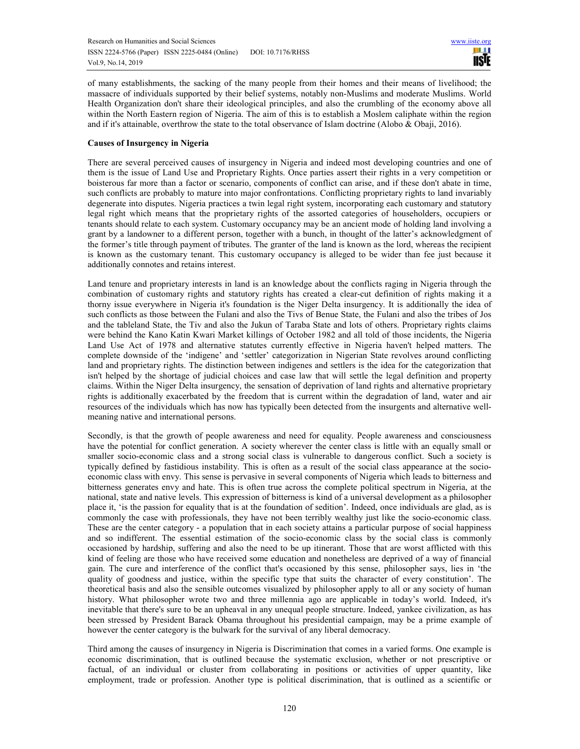of many establishments, the sacking of the many people from their homes and their means of livelihood; the massacre of individuals supported by their belief systems, notably non-Muslims and moderate Muslims. World Health Organization don't share their ideological principles, and also the crumbling of the economy above all within the North Eastern region of Nigeria. The aim of this is to establish a Moslem caliphate within the region and if it's attainable, overthrow the state to the total observance of Islam doctrine (Alobo & Obaji, 2016).

# **Causes of Insurgency in Nigeria**

There are several perceived causes of insurgency in Nigeria and indeed most developing countries and one of them is the issue of Land Use and Proprietary Rights. Once parties assert their rights in a very competition or boisterous far more than a factor or scenario, components of conflict can arise, and if these don't abate in time, such conflicts are probably to mature into major confrontations. Conflicting proprietary rights to land invariably degenerate into disputes. Nigeria practices a twin legal right system, incorporating each customary and statutory legal right which means that the proprietary rights of the assorted categories of householders, occupiers or tenants should relate to each system. Customary occupancy may be an ancient mode of holding land involving a grant by a landowner to a different person, together with a bunch, in thought of the latter's acknowledgment of the former's title through payment of tributes. The granter of the land is known as the lord, whereas the recipient is known as the customary tenant. This customary occupancy is alleged to be wider than fee just because it additionally connotes and retains interest.

Land tenure and proprietary interests in land is an knowledge about the conflicts raging in Nigeria through the combination of customary rights and statutory rights has created a clear-cut definition of rights making it a thorny issue everywhere in Nigeria it's foundation is the Niger Delta insurgency. It is additionally the idea of such conflicts as those between the Fulani and also the Tivs of Benue State, the Fulani and also the tribes of Jos and the tableland State, the Tiv and also the Jukun of Taraba State and lots of others. Proprietary rights claims were behind the Kano Katin Kwari Market killings of October 1982 and all told of those incidents, the Nigeria Land Use Act of 1978 and alternative statutes currently effective in Nigeria haven't helped matters. The complete downside of the 'indigene' and 'settler' categorization in Nigerian State revolves around conflicting land and proprietary rights. The distinction between indigenes and settlers is the idea for the categorization that isn't helped by the shortage of judicial choices and case law that will settle the legal definition and property claims. Within the Niger Delta insurgency, the sensation of deprivation of land rights and alternative proprietary rights is additionally exacerbated by the freedom that is current within the degradation of land, water and air resources of the individuals which has now has typically been detected from the insurgents and alternative wellmeaning native and international persons.

Secondly, is that the growth of people awareness and need for equality. People awareness and consciousness have the potential for conflict generation. A society wherever the center class is little with an equally small or smaller socio-economic class and a strong social class is vulnerable to dangerous conflict. Such a society is typically defined by fastidious instability. This is often as a result of the social class appearance at the socioeconomic class with envy. This sense is pervasive in several components of Nigeria which leads to bitterness and bitterness generates envy and hate. This is often true across the complete political spectrum in Nigeria, at the national, state and native levels. This expression of bitterness is kind of a universal development as a philosopher place it, 'is the passion for equality that is at the foundation of sedition'. Indeed, once individuals are glad, as is commonly the case with professionals, they have not been terribly wealthy just like the socio-economic class. These are the center category - a population that in each society attains a particular purpose of social happiness and so indifferent. The essential estimation of the socio-economic class by the social class is commonly occasioned by hardship, suffering and also the need to be up itinerant. Those that are worst afflicted with this kind of feeling are those who have received some education and nonetheless are deprived of a way of financial gain. The cure and interference of the conflict that's occasioned by this sense, philosopher says, lies in 'the quality of goodness and justice, within the specific type that suits the character of every constitution'. The theoretical basis and also the sensible outcomes visualized by philosopher apply to all or any society of human history. What philosopher wrote two and three millennia ago are applicable in today's world. Indeed, it's inevitable that there's sure to be an upheaval in any unequal people structure. Indeed, yankee civilization, as has been stressed by President Barack Obama throughout his presidential campaign, may be a prime example of however the center category is the bulwark for the survival of any liberal democracy.

Third among the causes of insurgency in Nigeria is Discrimination that comes in a varied forms. One example is economic discrimination, that is outlined because the systematic exclusion, whether or not prescriptive or factual, of an individual or cluster from collaborating in positions or activities of upper quantity, like employment, trade or profession. Another type is political discrimination, that is outlined as a scientific or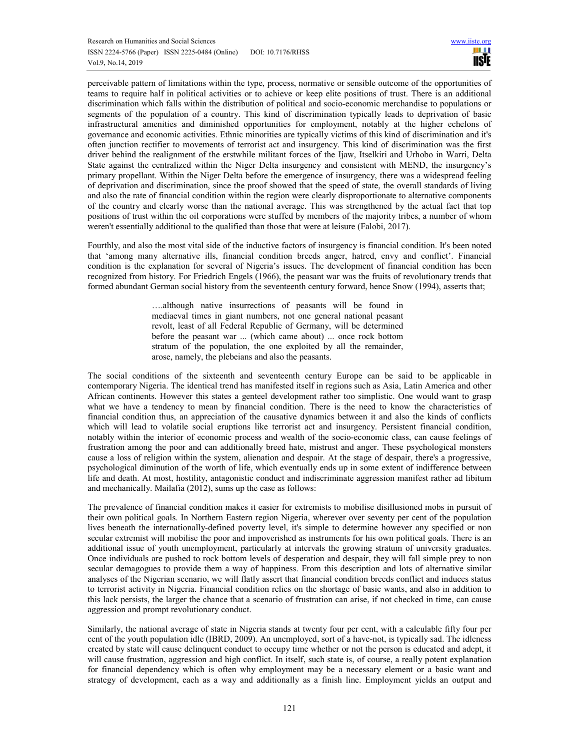perceivable pattern of limitations within the type, process, normative or sensible outcome of the opportunities of teams to require half in political activities or to achieve or keep elite positions of trust. There is an additional discrimination which falls within the distribution of political and socio-economic merchandise to populations or segments of the population of a country. This kind of discrimination typically leads to deprivation of basic infrastructural amenities and diminished opportunities for employment, notably at the higher echelons of governance and economic activities. Ethnic minorities are typically victims of this kind of discrimination and it's often junction rectifier to movements of terrorist act and insurgency. This kind of discrimination was the first driver behind the realignment of the erstwhile militant forces of the Ijaw, Itselkiri and Urhobo in Warri, Delta State against the centralized within the Niger Delta insurgency and consistent with MEND, the insurgency's primary propellant. Within the Niger Delta before the emergence of insurgency, there was a widespread feeling of deprivation and discrimination, since the proof showed that the speed of state, the overall standards of living and also the rate of financial condition within the region were clearly disproportionate to alternative components of the country and clearly worse than the national average. This was strengthened by the actual fact that top positions of trust within the oil corporations were stuffed by members of the majority tribes, a number of whom weren't essentially additional to the qualified than those that were at leisure (Falobi, 2017).

Fourthly, and also the most vital side of the inductive factors of insurgency is financial condition. It's been noted that 'among many alternative ills, financial condition breeds anger, hatred, envy and conflict'. Financial condition is the explanation for several of Nigeria's issues. The development of financial condition has been recognized from history. For Friedrich Engels (1966), the peasant war was the fruits of revolutionary trends that formed abundant German social history from the seventeenth century forward, hence Snow (1994), asserts that;

> ….although native insurrections of peasants will be found in mediaeval times in giant numbers, not one general national peasant revolt, least of all Federal Republic of Germany, will be determined before the peasant war ... (which came about) ... once rock bottom stratum of the population, the one exploited by all the remainder, arose, namely, the plebeians and also the peasants.

The social conditions of the sixteenth and seventeenth century Europe can be said to be applicable in contemporary Nigeria. The identical trend has manifested itself in regions such as Asia, Latin America and other African continents. However this states a genteel development rather too simplistic. One would want to grasp what we have a tendency to mean by financial condition. There is the need to know the characteristics of financial condition thus, an appreciation of the causative dynamics between it and also the kinds of conflicts which will lead to volatile social eruptions like terrorist act and insurgency. Persistent financial condition, notably within the interior of economic process and wealth of the socio-economic class, can cause feelings of frustration among the poor and can additionally breed hate, mistrust and anger. These psychological monsters cause a loss of religion within the system, alienation and despair. At the stage of despair, there's a progressive, psychological diminution of the worth of life, which eventually ends up in some extent of indifference between life and death. At most, hostility, antagonistic conduct and indiscriminate aggression manifest rather ad libitum and mechanically. Mailafia (2012), sums up the case as follows:

The prevalence of financial condition makes it easier for extremists to mobilise disillusioned mobs in pursuit of their own political goals. In Northern Eastern region Nigeria, wherever over seventy per cent of the population lives beneath the internationally-defined poverty level, it's simple to determine however any specified or non secular extremist will mobilise the poor and impoverished as instruments for his own political goals. There is an additional issue of youth unemployment, particularly at intervals the growing stratum of university graduates. Once individuals are pushed to rock bottom levels of desperation and despair, they will fall simple prey to non secular demagogues to provide them a way of happiness. From this description and lots of alternative similar analyses of the Nigerian scenario, we will flatly assert that financial condition breeds conflict and induces status to terrorist activity in Nigeria. Financial condition relies on the shortage of basic wants, and also in addition to this lack persists, the larger the chance that a scenario of frustration can arise, if not checked in time, can cause aggression and prompt revolutionary conduct.

Similarly, the national average of state in Nigeria stands at twenty four per cent, with a calculable fifty four per cent of the youth population idle (IBRD, 2009). An unemployed, sort of a have-not, is typically sad. The idleness created by state will cause delinquent conduct to occupy time whether or not the person is educated and adept, it will cause frustration, aggression and high conflict. In itself, such state is, of course, a really potent explanation for financial dependency which is often why employment may be a necessary element or a basic want and strategy of development, each as a way and additionally as a finish line. Employment yields an output and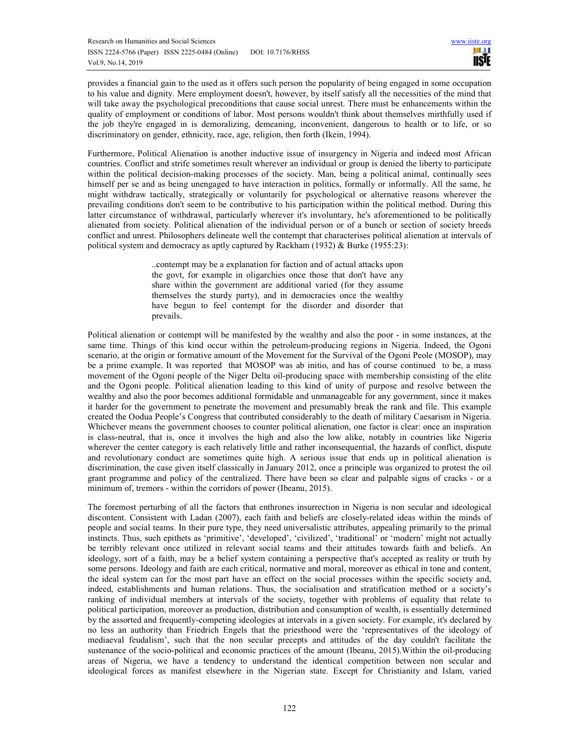provides a financial gain to the used as it offers such person the popularity of being engaged in some occupation to his value and dignity. Mere employment doesn't, however, by itself satisfy all the necessities of the mind that will take away the psychological preconditions that cause social unrest. There must be enhancements within the quality of employment or conditions of labor. Most persons wouldn't think about themselves mirthfully used if the job they're engaged in is demoralizing, demeaning, inconvenient, dangerous to health or to life, or so discriminatory on gender, ethnicity, race, age, religion, then forth (Ikein, 1994).

Furthermore, Political Alienation is another inductive issue of insurgency in Nigeria and indeed most African countries. Conflict and strife sometimes result wherever an individual or group is denied the liberty to participate within the political decision-making processes of the society. Man, being a political animal, continually sees himself per se and as being unengaged to have interaction in politics, formally or informally. All the same, he might withdraw tactically, strategically or voluntarily for psychological or alternative reasons wherever the prevailing conditions don't seem to be contributive to his participation within the political method. During this latter circumstance of withdrawal, particularly wherever it's involuntary, he's aforementioned to be politically alienated from society. Political alienation of the individual person or of a bunch or section of society breeds conflict and unrest. Philosophers delineate well the contempt that characterises political alienation at intervals of political system and democracy as aptly captured by Rackham (1932) & Burke (1955:23):

> ..contempt may be a explanation for faction and of actual attacks upon the govt, for example in oligarchies once those that don't have any share within the government are additional varied (for they assume themselves the sturdy party), and in democracies once the wealthy have begun to feel contempt for the disorder and disorder that prevails.

Political alienation or contempt will be manifested by the wealthy and also the poor - in some instances, at the same time. Things of this kind occur within the petroleum-producing regions in Nigeria. Indeed, the Ogoni scenario, at the origin or formative amount of the Movement for the Survival of the Ogoni Peole (MOSOP), may be a prime example. It was reported that MOSOP was ab initio, and has of course continued to be, a mass movement of the Ogoni people of the Niger Delta oil-producing space with membership consisting of the elite and the Ogoni people. Political alienation leading to this kind of unity of purpose and resolve between the wealthy and also the poor becomes additional formidable and unmanageable for any government, since it makes it harder for the government to penetrate the movement and presumably break the rank and file. This example created the Oodua People's Congress that contributed considerably to the death of military Caesarism in Nigeria. Whichever means the government chooses to counter political alienation, one factor is clear: once an inspiration is class-neutral, that is, once it involves the high and also the low alike, notably in countries like Nigeria wherever the center category is each relatively little and rather inconsequential, the hazards of conflict, dispute and revolutionary conduct are sometimes quite high. A serious issue that ends up in political alienation is discrimination, the case given itself classically in January 2012, once a principle was organized to protest the oil grant programme and policy of the centralized. There have been so clear and palpable signs of cracks - or a minimum of, tremors - within the corridors of power (Ibeanu, 2015).

The foremost perturbing of all the factors that enthrones insurrection in Nigeria is non secular and ideological discontent. Consistent with Ladan (2007), each faith and beliefs are closely-related ideas within the minds of people and social teams. In their pure type, they need universalistic attributes, appealing primarily to the primal instincts. Thus, such epithets as 'primitive', 'developed', 'civilized', 'traditional' or 'modern' might not actually be terribly relevant once utilized in relevant social teams and their attitudes towards faith and beliefs. An ideology, sort of a faith, may be a belief system containing a perspective that's accepted as reality or truth by some persons. Ideology and faith are each critical, normative and moral, moreover as ethical in tone and content, the ideal system can for the most part have an effect on the social processes within the specific society and, indeed, establishments and human relations. Thus, the socialisation and stratification method or a society's ranking of individual members at intervals of the society, together with problems of equality that relate to political participation, moreover as production, distribution and consumption of wealth, is essentially determined by the assorted and frequently-competing ideologies at intervals in a given society. For example, it's declared by no less an authority than Friedrich Engels that the priesthood were the 'representatives of the ideology of mediaeval feudalism', such that the non secular precepts and attitudes of the day couldn't facilitate the sustenance of the socio-political and economic practices of the amount (Ibeanu, 2015).Within the oil-producing areas of Nigeria, we have a tendency to understand the identical competition between non secular and ideological forces as manifest elsewhere in the Nigerian state. Except for Christianity and Islam, varied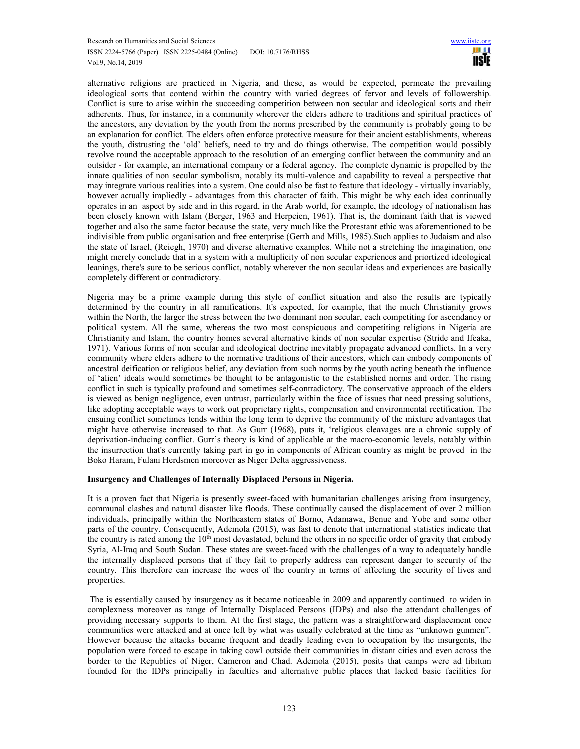alternative religions are practiced in Nigeria, and these, as would be expected, permeate the prevailing ideological sorts that contend within the country with varied degrees of fervor and levels of followership. Conflict is sure to arise within the succeeding competition between non secular and ideological sorts and their adherents. Thus, for instance, in a community wherever the elders adhere to traditions and spiritual practices of the ancestors, any deviation by the youth from the norms prescribed by the community is probably going to be an explanation for conflict. The elders often enforce protective measure for their ancient establishments, whereas the youth, distrusting the 'old' beliefs, need to try and do things otherwise. The competition would possibly revolve round the acceptable approach to the resolution of an emerging conflict between the community and an outsider - for example, an international company or a federal agency. The complete dynamic is propelled by the innate qualities of non secular symbolism, notably its multi-valence and capability to reveal a perspective that may integrate various realities into a system. One could also be fast to feature that ideology - virtually invariably, however actually impliedly - advantages from this character of faith. This might be why each idea continually operates in an aspect by side and in this regard, in the Arab world, for example, the ideology of nationalism has been closely known with Islam (Berger, 1963 and Herpeien, 1961). That is, the dominant faith that is viewed together and also the same factor because the state, very much like the Protestant ethic was aforementioned to be indivisible from public organisation and free enterprise (Gerth and Mills, 1985).Such applies to Judaism and also the state of Israel, (Reiegh, 1970) and diverse alternative examples. While not a stretching the imagination, one might merely conclude that in a system with a multiplicity of non secular experiences and priortized ideological leanings, there's sure to be serious conflict, notably wherever the non secular ideas and experiences are basically completely different or contradictory.

Nigeria may be a prime example during this style of conflict situation and also the results are typically determined by the country in all ramifications. It's expected, for example, that the much Christianity grows within the North, the larger the stress between the two dominant non secular, each competiting for ascendancy or political system. All the same, whereas the two most conspicuous and competiting religions in Nigeria are Christianity and Islam, the country homes several alternative kinds of non secular expertise (Stride and Ifeaka, 1971). Various forms of non secular and ideological doctrine inevitably propagate advanced conflicts. In a very community where elders adhere to the normative traditions of their ancestors, which can embody components of ancestral deification or religious belief, any deviation from such norms by the youth acting beneath the influence of 'alien' ideals would sometimes be thought to be antagonistic to the established norms and order. The rising conflict in such is typically profound and sometimes self-contradictory. The conservative approach of the elders is viewed as benign negligence, even untrust, particularly within the face of issues that need pressing solutions, like adopting acceptable ways to work out proprietary rights, compensation and environmental rectification. The ensuing conflict sometimes tends within the long term to deprive the community of the mixture advantages that might have otherwise increased to that. As Gurr (1968), puts it, 'religious cleavages are a chronic supply of deprivation-inducing conflict. Gurr's theory is kind of applicable at the macro-economic levels, notably within the insurrection that's currently taking part in go in components of African country as might be proved in the Boko Haram, Fulani Herdsmen moreover as Niger Delta aggressiveness.

# **Insurgency and Challenges of Internally Displaced Persons in Nigeria.**

It is a proven fact that Nigeria is presently sweet-faced with humanitarian challenges arising from insurgency, communal clashes and natural disaster like floods. These continually caused the displacement of over 2 million individuals, principally within the Northeastern states of Borno, Adamawa, Benue and Yobe and some other parts of the country. Consequently, Ademola (2015), was fast to denote that international statistics indicate that the country is rated among the  $10<sup>th</sup>$  most devastated, behind the others in no specific order of gravity that embody Syria, Al-Iraq and South Sudan. These states are sweet-faced with the challenges of a way to adequately handle the internally displaced persons that if they fail to properly address can represent danger to security of the country. This therefore can increase the woes of the country in terms of affecting the security of lives and properties.

 The is essentially caused by insurgency as it became noticeable in 2009 and apparently continued to widen in complexness moreover as range of Internally Displaced Persons (IDPs) and also the attendant challenges of providing necessary supports to them. At the first stage, the pattern was a straightforward displacement once communities were attacked and at once left by what was usually celebrated at the time as "unknown gunmen". However because the attacks became frequent and deadly leading even to occupation by the insurgents, the population were forced to escape in taking cowl outside their communities in distant cities and even across the border to the Republics of Niger, Cameron and Chad. Ademola (2015), posits that camps were ad libitum founded for the IDPs principally in faculties and alternative public places that lacked basic facilities for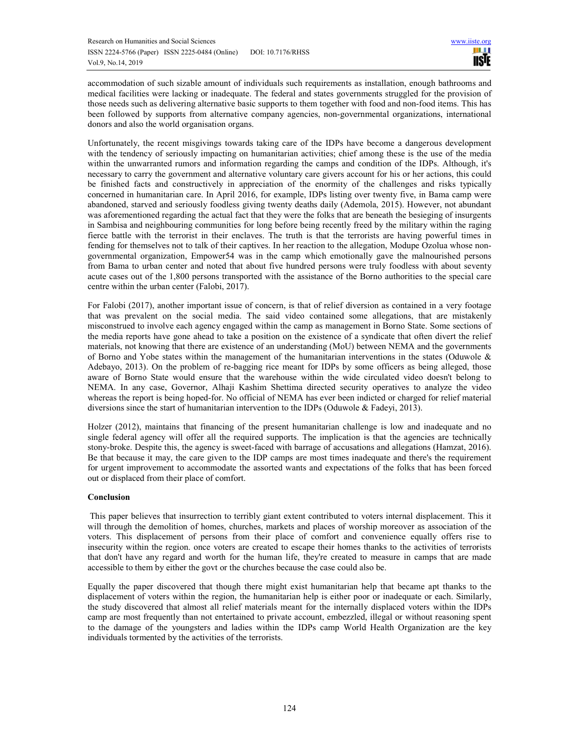accommodation of such sizable amount of individuals such requirements as installation, enough bathrooms and medical facilities were lacking or inadequate. The federal and states governments struggled for the provision of those needs such as delivering alternative basic supports to them together with food and non-food items. This has been followed by supports from alternative company agencies, non-governmental organizations, international donors and also the world organisation organs.

Unfortunately, the recent misgivings towards taking care of the IDPs have become a dangerous development with the tendency of seriously impacting on humanitarian activities; chief among these is the use of the media within the unwarranted rumors and information regarding the camps and condition of the IDPs. Although, it's necessary to carry the government and alternative voluntary care givers account for his or her actions, this could be finished facts and constructively in appreciation of the enormity of the challenges and risks typically concerned in humanitarian care. In April 2016, for example, IDPs listing over twenty five, in Bama camp were abandoned, starved and seriously foodless giving twenty deaths daily (Ademola, 2015). However, not abundant was aforementioned regarding the actual fact that they were the folks that are beneath the besieging of insurgents in Sambisa and neighbouring communities for long before being recently freed by the military within the raging fierce battle with the terrorist in their enclaves. The truth is that the terrorists are having powerful times in fending for themselves not to talk of their captives. In her reaction to the allegation, Modupe Ozolua whose nongovernmental organization, Empower54 was in the camp which emotionally gave the malnourished persons from Bama to urban center and noted that about five hundred persons were truly foodless with about seventy acute cases out of the 1,800 persons transported with the assistance of the Borno authorities to the special care centre within the urban center (Falobi, 2017).

For Falobi (2017), another important issue of concern, is that of relief diversion as contained in a very footage that was prevalent on the social media. The said video contained some allegations, that are mistakenly misconstrued to involve each agency engaged within the camp as management in Borno State. Some sections of the media reports have gone ahead to take a position on the existence of a syndicate that often divert the relief materials, not knowing that there are existence of an understanding (MoU) between NEMA and the governments of Borno and Yobe states within the management of the humanitarian interventions in the states (Oduwole & Adebayo, 2013). On the problem of re-bagging rice meant for IDPs by some officers as being alleged, those aware of Borno State would ensure that the warehouse within the wide circulated video doesn't belong to NEMA. In any case, Governor, Alhaji Kashim Shettima directed security operatives to analyze the video whereas the report is being hoped-for. No official of NEMA has ever been indicted or charged for relief material diversions since the start of humanitarian intervention to the IDPs (Oduwole & Fadeyi, 2013).

Holzer (2012), maintains that financing of the present humanitarian challenge is low and inadequate and no single federal agency will offer all the required supports. The implication is that the agencies are technically stony-broke. Despite this, the agency is sweet-faced with barrage of accusations and allegations (Hamzat, 2016). Be that because it may, the care given to the IDP camps are most times inadequate and there's the requirement for urgent improvement to accommodate the assorted wants and expectations of the folks that has been forced out or displaced from their place of comfort.

# **Conclusion**

 This paper believes that insurrection to terribly giant extent contributed to voters internal displacement. This it will through the demolition of homes, churches, markets and places of worship moreover as association of the voters. This displacement of persons from their place of comfort and convenience equally offers rise to insecurity within the region. once voters are created to escape their homes thanks to the activities of terrorists that don't have any regard and worth for the human life, they're created to measure in camps that are made accessible to them by either the govt or the churches because the case could also be.

Equally the paper discovered that though there might exist humanitarian help that became apt thanks to the displacement of voters within the region, the humanitarian help is either poor or inadequate or each. Similarly, the study discovered that almost all relief materials meant for the internally displaced voters within the IDPs camp are most frequently than not entertained to private account, embezzled, illegal or without reasoning spent to the damage of the youngsters and ladies within the IDPs camp World Health Organization are the key individuals tormented by the activities of the terrorists.